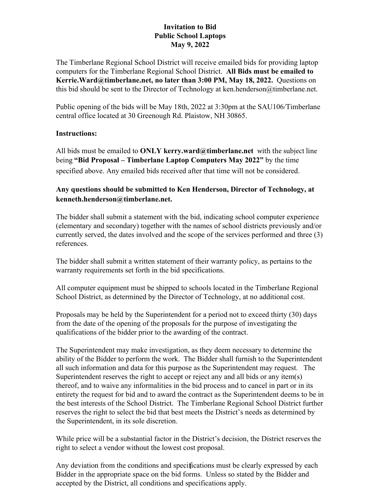# **Invitation to Bid Public School Laptops May 9, 2022**

The Timberlane Regional School District will receive emailed bids for providing laptop computers for the Timberlane Regional School District. **All Bids must be emailed to Kerrie.Ward@timberlane.net, no later than 3:00 PM, May 18, 2022.** Questions on this bid should be sent to the Director of Technology at ken.henderson@timberlane.net.

Public opening of the bids will be May 18th, 2022 at 3:30pm at the SAU106/Timberlane central office located at 30 Greenough Rd. Plaistow, NH 30865.

## **Instructions:**

All bids must be emailed to **ONLY kerry.ward@timberlane.net** with the subject line being **"Bid Proposal – Timberlane Laptop Computers May 2022"** by the time specified above. Any emailed bids received after that time will not be considered.

# **Any questions should be submitted to Ken Henderson, Director of Technology, at kenneth.henderson@timberlane.net.**

The bidder shall submit a statement with the bid, indicating school computer experience (elementary and secondary) together with the names of school districts previously and/or currently served, the dates involved and the scope of the services performed and three (3) references.

The bidder shall submit a written statement of their warranty policy, as pertains to the warranty requirements set forth in the bid specifications.

All computer equipment must be shipped to schools located in the Timberlane Regional School District, as determined by the Director of Technology, at no additional cost.

Proposals may be held by the Superintendent for a period not to exceed thirty (30) days from the date of the opening of the proposals for the purpose of investigating the qualifications of the bidder prior to the awarding of the contract.

The Superintendent may make investigation, as they deem necessary to determine the ability of the Bidder to perform the work. The Bidder shall furnish to the Superintendent all such information and data for this purpose as the Superintendent may request. The Superintendent reserves the right to accept or reject any and all bids or any item(s) thereof, and to waive any informalities in the bid process and to cancel in part or in its entirety the request for bid and to award the contract as the Superintendent deems to be in the best interests of the School District. The Timberlane Regional School District further reserves the right to select the bid that best meets the District's needs as determined by the Superintendent, in its sole discretion.

While price will be a substantial factor in the District's decision, the District reserves the right to select a vendor without the lowest cost proposal.

Any deviation from the conditions and specifications must be clearly expressed by each 1Bidder in the appropriate space on the bid forms. Unless so stated by the Bidder and accepted by the District, all conditions and specifications apply.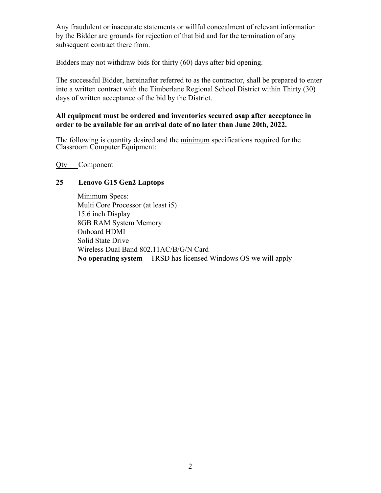Any fraudulent or inaccurate statements or willful concealment of relevant information by the Bidder are grounds for rejection of that bid and for the termination of any subsequent contract there from.

Bidders may not withdraw bids for thirty (60) days after bid opening.

The successful Bidder, hereinafter referred to as the contractor, shall be prepared to enter into a written contract with the Timberlane Regional School District within Thirty (30) days of written acceptance of the bid by the District.

#### **All equipment must be ordered and inventories secured asap after acceptance in order to be available for an arrival date of no later than June 20th, 2022.**

The following is quantity desired and the minimum specifications required for the Classroom Computer Equipment:

Qty Component

## **25 Lenovo G15 Gen2 Laptops**

Minimum Specs: Multi Core Processor (at least i5) 15.6 inch Display 8GB RAM System Memory Onboard HDMI Solid State Drive Wireless Dual Band 802.11AC/B/G/N Card **No operating system** - TRSD has licensed Windows OS we will apply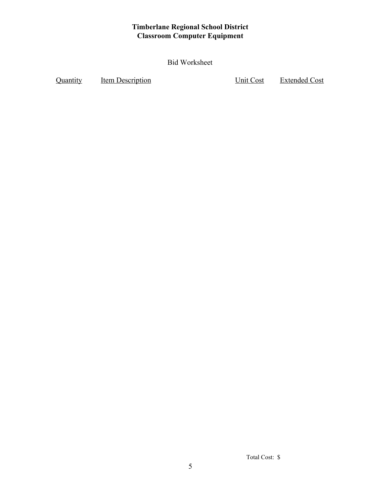# **Timberlane Regional School District Classroom Computer Equipment**

Bid Worksheet

Quantity Item Description Unit Cost Extended Cost